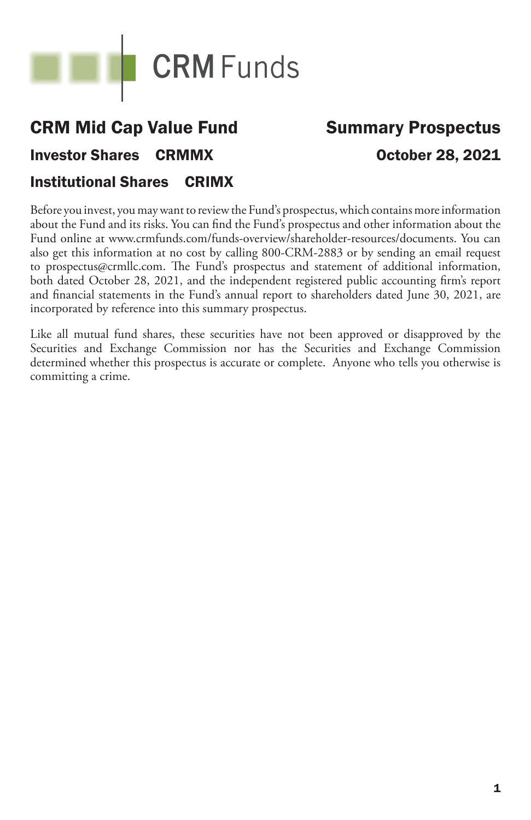

# CRM Mid Cap Value Fund Investor Shares CRMMX Institutional Shares CRIMX

# Summary Prospectus October 28, 2021

Before you invest, you may want to review the Fund's prospectus, which contains more information about the Fund and its risks. You can find the Fund's prospectus and other information about the Fund online at www.crmfunds.com/funds-overview/shareholder-resources/documents. You can also get this information at no cost by calling 800-CRM-2883 or by sending an email request to prospectus@crmllc.com. The Fund's prospectus and statement of additional information, both dated October 28, 2021, and the independent registered public accounting firm's report and financial statements in the Fund's annual report to shareholders dated June 30, 2021, are incorporated by reference into this summary prospectus.

Like all mutual fund shares, these securities have not been approved or disapproved by the Securities and Exchange Commission nor has the Securities and Exchange Commission determined whether this prospectus is accurate or complete. Anyone who tells you otherwise is committing a crime.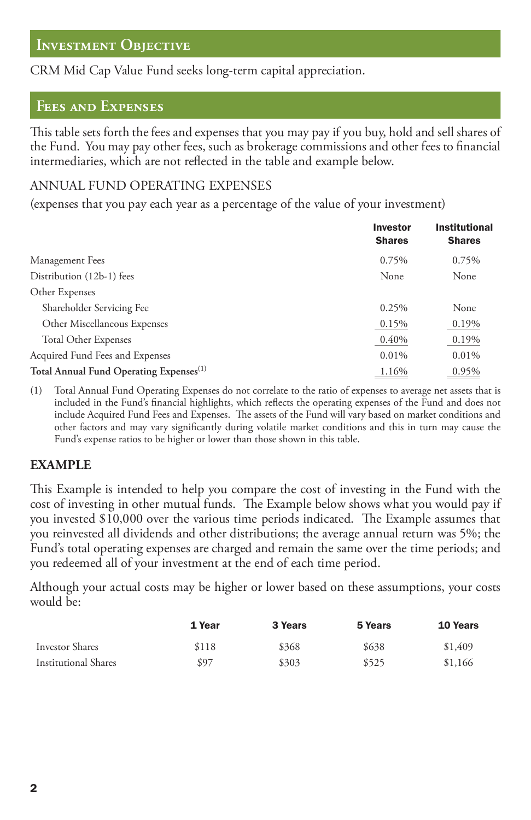# **Investment Objective**

CRM Mid Cap Value Fund seeks long-term capital appreciation.

# **Fees and Expenses**

This table sets forth the fees and expenses that you may pay if you buy, hold and sell shares of the Fund. You may pay other fees, such as brokerage commissions and other fees to financial intermediaries, which are not reflected in the table and example below.

#### ANNUAL FUND OPERATING EXPENSES

(expenses that you pay each year as a percentage of the value of your investment)

|                                                     | <b>Investor</b><br><b>Shares</b> | <b>Institutional</b><br><b>Shares</b> |
|-----------------------------------------------------|----------------------------------|---------------------------------------|
| Management Fees                                     | 0.75%                            | 0.75%                                 |
| Distribution (12b-1) fees                           | None                             | None                                  |
| Other Expenses                                      |                                  |                                       |
| Shareholder Servicing Fee                           | 0.25%                            | None                                  |
| Other Miscellaneous Expenses                        | 0.15%                            | 0.19%                                 |
| <b>Total Other Expenses</b>                         | 0.40%                            | 0.19%                                 |
| Acquired Fund Fees and Expenses                     | 0.01%                            | 0.01%                                 |
| Total Annual Fund Operating Expenses <sup>(1)</sup> | 1.16%                            | 0.95%                                 |

(1) Total Annual Fund Operating Expenses do not correlate to the ratio of expenses to average net assets that is included in the Fund's financial highlights, which reflects the operating expenses of the Fund and does not include Acquired Fund Fees and Expenses. The assets of the Fund will vary based on market conditions and other factors and may vary significantly during volatile market conditions and this in turn may cause the Fund's expense ratios to be higher or lower than those shown in this table.

#### **EXAMPLE**

This Example is intended to help you compare the cost of investing in the Fund with the cost of investing in other mutual funds. The Example below shows what you would pay if you invested \$10,000 over the various time periods indicated. The Example assumes that you reinvested all dividends and other distributions; the average annual return was 5%; the Fund's total operating expenses are charged and remain the same over the time periods; and you redeemed all of your investment at the end of each time period.

Although your actual costs may be higher or lower based on these assumptions, your costs would be:

|                      | 1 Year | 3 Years | 5 Years | <b>10 Years</b> |
|----------------------|--------|---------|---------|-----------------|
| Investor Shares      | \$118  | \$368   | \$638   | \$1,409         |
| Institutional Shares | \$97   | \$303   | \$525   | \$1,166         |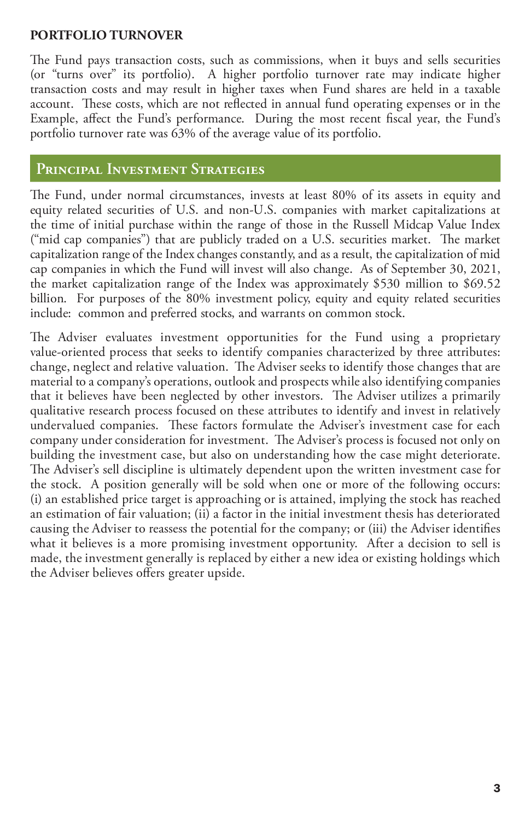### **PORTFOLIO TURNOVER**

The Fund pays transaction costs, such as commissions, when it buys and sells securities (or "turns over" its portfolio). A higher portfolio turnover rate may indicate higher transaction costs and may result in higher taxes when Fund shares are held in a taxable account. These costs, which are not reflected in annual fund operating expenses or in the Example, affect the Fund's performance. During the most recent fiscal year, the Fund's portfolio turnover rate was 63% of the average value of its portfolio.

# **PRINCIPAL INVESTMENT STRATEGIES**

The Fund, under normal circumstances, invests at least 80% of its assets in equity and equity related securities of U.S. and non-U.S. companies with market capitalizations at the time of initial purchase within the range of those in the Russell Midcap Value Index ("mid cap companies") that are publicly traded on a U.S. securities market. The market capitalization range of the Index changes constantly, and as a result, the capitalization of mid cap companies in which the Fund will invest will also change. As of September 30, 2021, the market capitalization range of the Index was approximately \$530 million to \$69.52 billion. For purposes of the 80% investment policy, equity and equity related securities include: common and preferred stocks, and warrants on common stock.

The Adviser evaluates investment opportunities for the Fund using a proprietary value-oriented process that seeks to identify companies characterized by three attributes: change, neglect and relative valuation. The Adviser seeks to identify those changes that are material to a company's operations, outlook and prospects while also identifying companies that it believes have been neglected by other investors. The Adviser utilizes a primarily qualitative research process focused on these attributes to identify and invest in relatively undervalued companies. These factors formulate the Adviser's investment case for each company under consideration for investment. The Adviser's process is focused not only on building the investment case, but also on understanding how the case might deteriorate. The Adviser's sell discipline is ultimately dependent upon the written investment case for the stock. A position generally will be sold when one or more of the following occurs: (i) an established price target is approaching or is attained, implying the stock has reached an estimation of fair valuation; (ii) a factor in the initial investment thesis has deteriorated causing the Adviser to reassess the potential for the company; or (iii) the Adviser identifies what it believes is a more promising investment opportunity. After a decision to sell is made, the investment generally is replaced by either a new idea or existing holdings which the Adviser believes offers greater upside.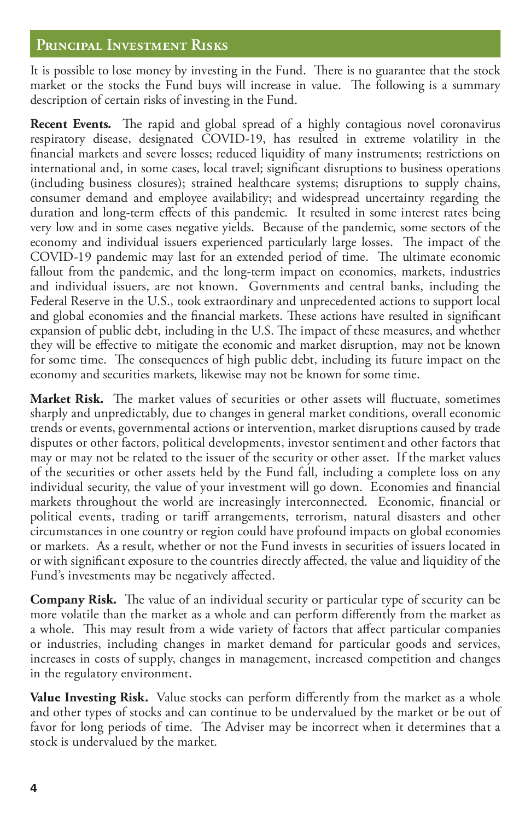# **Pꢉincipaꢊ Investment Risks**

It is possible to lose money by investing in the Fund. There is no guarantee that the stock market or the stocks the Fund buys will increase in value. The following is a summary description of certain risks of investing in the Fund.

Recent Events. The rapid and global spread of a highly contagious novel coronavirus respiratory disease, designated COVID-19, has resulted in extreme volatility in the financial markets and severe losses; reduced liquidity of many instruments; restrictions on international and, in some cases, local travel; significant disruptions to business operations (including business closures); strained healthcare systems; disruptions to supply chains, consumer demand and employee availability; and widespread uncertainty regarding the duration and long-term effects of this pandemic. It resulted in some interest rates being very low and in some cases negative yields. Because of the pandemic, some sectors of the economy and individual issuers experienced particularly large losses. The impact of the COVID-19 pandemic may last for an extended period of time. The ultimate economic fallout from the pandemic, and the long-term impact on economies, markets, industries and individual issuers, are not known. Governments and central banks, including the Federal Reserve in the U.S., took extraordinary and unprecedented actions to support local and global economies and the financial markets. These actions have resulted in significant expansion of public debt, including in the U.S. The impact of these measures, and whether they will be effective to mitigate the economic and market disruption, may not be known for some time. The consequences of high public debt, including its future impact on the economy and securities markets, likewise may not be known for some time.

**Market Risk.** The market values of securities or other assets will fluctuate, sometimes sharply and unpredictably, due to changes in general market conditions, overall economic trends or events, governmental actions or intervention, market disruptions caused by trade disputes or other factors, political developments, investor sentiment and other factors that may or may not be related to the issuer of the security or other asset. If the market values of the securities or other assets held by the Fund fall, including a complete loss on any individual security, the value of your investment will go down. Economies and financial markets throughout the world are increasingly interconnected. Economic, financial or political events, trading or tariff arrangements, terrorism, natural disasters and other circumstances in one country or region could have profound impacts on global economies or markets. As a result, whether or not the Fund invests in securities of issuers located in or with significant exposure to the countries directly affected, the value and liquidity of the Fund's investments may be negatively affected.

**Company Risk.** The value of an individual security or particular type of security can be more volatile than the market as a whole and can perform differently from the market as a whole. This may result from a wide variety of factors that affect particular companies or industries, including changes in market demand for particular goods and services, increases in costs of supply, changes in management, increased competition and changes in the regulatory environment.

Value Investing Risk. Value stocks can perform differently from the market as a whole and other types of stocks and can continue to be undervalued by the market or be out of favor for long periods of time. The Adviser may be incorrect when it determines that a stock is undervalued by the market.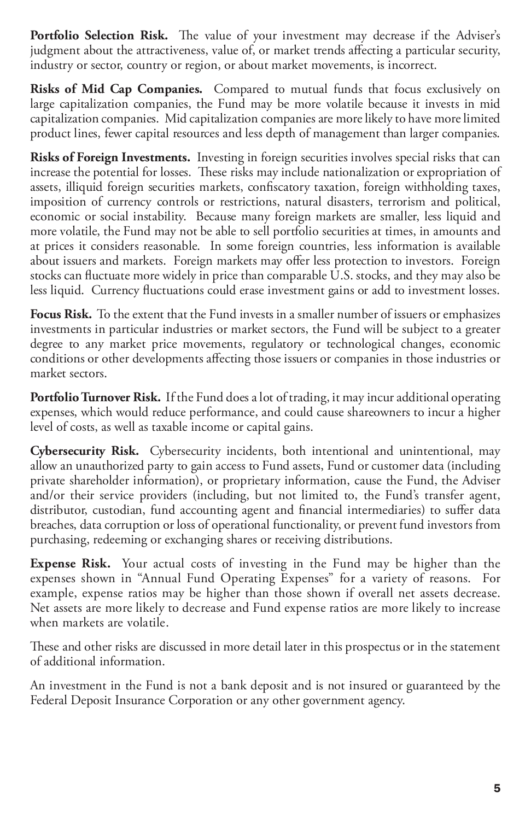**Portfolio Selection Risk.** The value of your investment may decrease if the Adviser's judgment about the attractiveness, value of, or market trends affecting a particular security, industry or sector, country or region, or about market movements, is incorrect.

**Risks of Mid Cap Companies.** Compared to mutual funds that focus exclusively on large capitalization companies, the Fund may be more volatile because it invests in mid capitalization companies. Mid capitalization companies are more likely to have more limited product lines, fewer capital resources and less depth of management than larger companies.

**Risks of Foreign Investments.** Investing in foreign securities involves special risks that can increase the potential for losses. These risks may include nationalization or expropriation of assets, illiquid foreign securities markets, confiscatory taxation, foreign withholding taxes, imposition of currency controls or restrictions, natural disasters, terrorism and political, economic or social instability. Because many foreign markets are smaller, less liquid and more volatile, the Fund may not be able to sell portfolio securities at times, in amounts and at prices it considers reasonable. In some foreign countries, less information is available about issuers and markets. Foreign markets may offer less protection to investors. Foreign stocks can fluctuate more widely in price than comparable U.S. stocks, and they may also be less liquid. Currency fluctuations could erase investment gains or add to investment losses.

**Focus Risk.** To the extent that the Fund invests in a smaller number of issuers or emphasizes investments in particular industries or market sectors, the Fund will be subject to a greater degree to any market price movements, regulatory or technological changes, economic conditions or other developments affecting those issuers or companies in those industries or market sectors.

**Portfolio Turnover Risk.** If the Fund does a lot of trading, it may incur additional operating expenses, which would reduce performance, and could cause shareowners to incur a higher level of costs, as well as taxable income or capital gains.

**Cybersecurity Risk.** Cybersecurity incidents, both intentional and unintentional, may allow an unauthorized party to gain access to Fund assets, Fund or customer data (including private shareholder information), or proprietary information, cause the Fund, the Adviser and/or their service providers (including, but not limited to, the Fund's transfer agent, distributor, custodian, fund accounting agent and financial intermediaries) to suffer data breaches, data corruption or loss of operational functionality, or prevent fund investors from purchasing, redeeming or exchanging shares or receiving distributions.

**Expense Risk.** Your actual costs of investing in the Fund may be higher than the expenses shown in "Annual Fund Operating Expenses" for a variety of reasons. For example, expense ratios may be higher than those shown if overall net assets decrease. Net assets are more likely to decrease and Fund expense ratios are more likely to increase when markets are volatile.

These and other risks are discussed in more detail later in this prospectus or in the statement of additional information.

An investment in the Fund is not a bank deposit and is not insured or guaranteed by the Federal Deposit Insurance Corporation or any other government agency.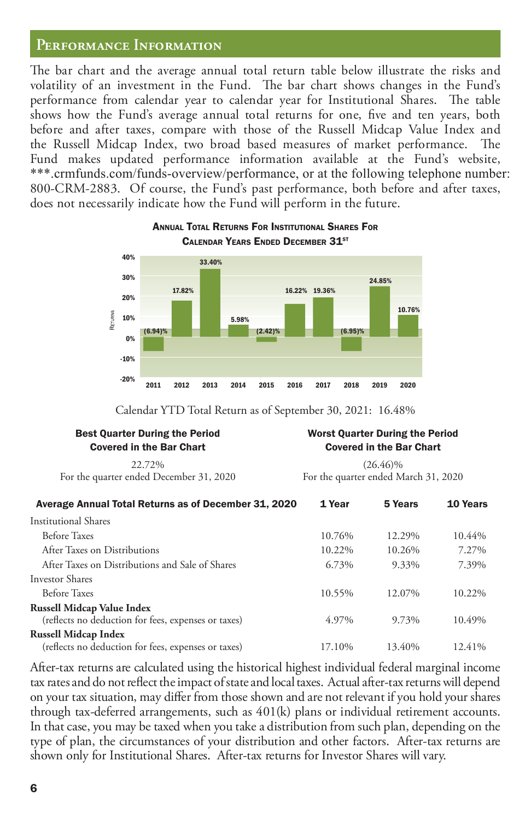#### Performance Information

Best Quarter During the Period

The bar chart and the average annual total return table below illustrate the risks and volatility of an investment in the Fund. The bar chart shows changes in the Fund's performance from calendar year to calendar year for Institutional Shares. The table shows how the Fund's average annual total returns for one, five and ten years, both before and after taxes, compare with those of the Russell Midcap Value Index and the Russell Midcap Index, two broad based measures of market performance. The Fund makes updated performance information available at the Fund's website, \*\*\*.crmfunds.com/funds-overview/performance, or at the following telephone number: 800-CRM-2883. Of course, the Fund's past performance, both before and after taxes, does not necessarily indicate how the Fund will perform in the future.



#### ANNUAL TOTAL RETURNS FOR INSTITUTIONAL SHARES FOR CALENDAR YEARS ENDED DECEMBER 31ST

Calendar YTD Total Return as of September 30, 2021: 16.48%

Worst Quarter During the Period

| <b>Covered in the Bar Chart</b>                      | <b>Covered in the Bar Chart</b><br>$(26.46)\%$ |         |          |  |
|------------------------------------------------------|------------------------------------------------|---------|----------|--|
| 22.72%                                               |                                                |         |          |  |
| For the quarter ended December 31, 2020              | For the quarter ended March 31, 2020           |         |          |  |
| Average Annual Total Returns as of December 31, 2020 | 1 Year                                         | 5 Years | 10 Years |  |
| Institutional Shares                                 |                                                |         |          |  |
| <b>Before Taxes</b>                                  | 10.76%                                         | 12.29%  | 10.44%   |  |
| After Taxes on Distributions                         | 10.22%                                         | 10.26%  | 7.27%    |  |
| After Taxes on Distributions and Sale of Shares      | 6.73%                                          | 9.33%   | 7.39%    |  |
| Investor Shares                                      |                                                |         |          |  |
| Before Taxes                                         | 10.55%                                         | 12.07%  | 10.22%   |  |
| Russell Midcap Value Index                           |                                                |         |          |  |
| (reflects no deduction for fees, expenses or taxes)  | 4.97%                                          | 9.73%   | 10.49%   |  |
| <b>Russell Midcap Index</b>                          |                                                |         |          |  |
| (reflects no deduction for fees, expenses or taxes)  | 17.10%                                         | 13.40%  | 12.41%   |  |

After-tax returns are calculated using the historical highest individual federal marginal income tax rates and do not reflect the impact of state and local taxes. Actual after-tax returns will depend on your tax situation, may differ from those shown and are not relevant if you hold your shares through tax-deferred arrangements, such as 401(k) plans or individual retirement accounts. In that case, you may be taxed when you take a distribution from such plan, depending on the type of plan, the circumstances of your distribution and other factors. After-tax returns are shown only for Institutional Shares. After-tax returns for Investor Shares will vary.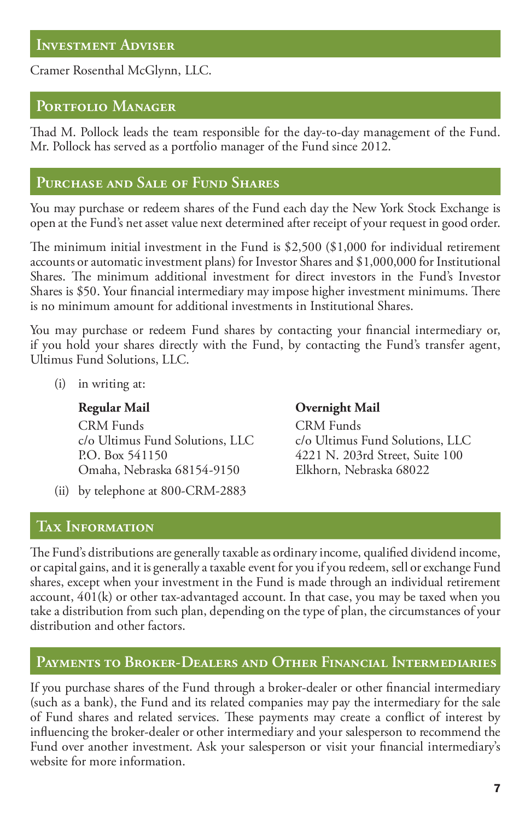Cramer Rosenthal McGlynn, LLC.

# Portfolio Manager

Thad M. Pollock leads the team responsible for the day-to-day management of the Fund. Mr. Pollock has served as a portfolio manager of the Fund since 2012.

# **Pꢍꢉchase and Saꢊe ꢌf Fꢍnd Shaꢉes**

You may purchase or redeem shares of the Fund each day the New York Stock Exchange is open at the Fund's net asset value next determined after receipt of your request in good order.

The minimum initial investment in the Fund is  $$2,500$  (\$1,000 for individual retirement accounts or automatic investment plans) for Investor Shares and \$1,000,000 for Institutional Shares. The minimum additional investment for direct investors in the Fund's Investor Shares is \$50. Your financial intermediary may impose higher investment minimums. There is no minimum amount for additional investments in Institutional Shares.

You may purchase or redeem Fund shares by contacting your financial intermediary or, if you hold your shares directly with the Fund, by contacting the Fund's transfer agent, Ultimus Fund Solutions, LLC.

(i) in writing at:

CRM Funds CRM Funds P.O. Box 541150 4221 N. 203rd Street, Suite 100 Omaha, Nebraska 68154-9150

(ii) by telephone at 800-CRM-2883

# **TAX INFORMATION**

## **Regular Mail Overnight Mail**

c/o Ultimus Fund Solutions, LLC c/o Ultimus Fund Solutions, LLC

e Fund's distributions are generally taxable as ordinary income, qualified dividend income, or capital gains, and it is generally a taxable event for you if you redeem, sell or exchange Fund shares, except when your investment in the Fund is made through an individual retirement account, 401(k) or other tax-advantaged account. In that case, you may be taxed when you take a distribution from such plan, depending on the type of plan, the circumstances of your distribution and other factors.

# PAYMENTS TO BROKER-DEALERS AND OTHER FINANCIAL INTERMEDIARIES

If you purchase shares of the Fund through a broker-dealer or other financial intermediary (such as a bank), the Fund and its related companies may pay the intermediary for the sale of Fund shares and related services. These payments may create a conflict of interest by influencing the broker-dealer or other intermediary and your salesperson to recommend the Fund over another investment. Ask your salesperson or visit your financial intermediary's website for more information.